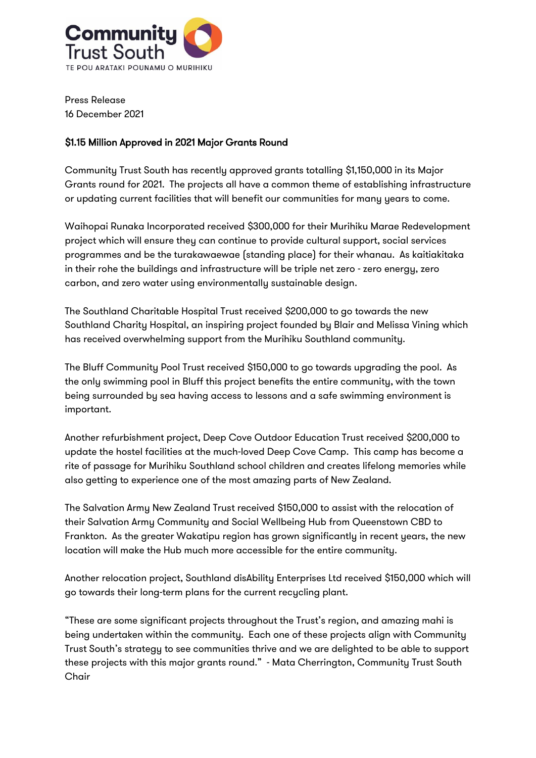

Press Release 16 December 2021

## \$1.15 Million Approved in 2021 Major Grants Round

Community Trust South has recently approved grants totalling \$1,150,000 in its Major Grants round for 2021. The projects all have a common theme of establishing infrastructure or updating current facilities that will benefit our communities for many years to come.

Waihopai Runaka Incorporated received \$300,000 for their Murihiku Marae Redevelopment project which will ensure they can continue to provide cultural support, social services programmes and be the turakawaewae (standing place) for their whanau. As kaitiakitaka in their rohe the buildings and infrastructure will be triple net zero - zero energy, zero carbon, and zero water using environmentally sustainable design.

The Southland Charitable Hospital Trust received \$200,000 to go towards the new Southland Charity Hospital, an inspiring project founded by Blair and Melissa Vining which has received overwhelming support from the Murihiku Southland community.

The Bluff Community Pool Trust received \$150,000 to go towards upgrading the pool. As the only swimming pool in Bluff this project benefits the entire community, with the town being surrounded by sea having access to lessons and a safe swimming environment is important.

Another refurbishment project, Deep Cove Outdoor Education Trust received \$200,000 to update the hostel facilities at the much-loved Deep Cove Camp. This camp has become a rite of passage for Murihiku Southland school children and creates lifelong memories while also getting to experience one of the most amazing parts of New Zealand.

The Salvation Army New Zealand Trust received \$150,000 to assist with the relocation of their Salvation Army Community and Social Wellbeing Hub from Queenstown CBD to Frankton. As the greater Wakatipu region has grown significantly in recent years, the new location will make the Hub much more accessible for the entire community.

Another relocation project, Southland disAbility Enterprises Ltd received \$150,000 which will go towards their long-term plans for the current recycling plant.

"These are some significant projects throughout the Trust's region, and amazing mahi is being undertaken within the community. Each one of these projects align with Community Trust South's strategy to see communities thrive and we are delighted to be able to support these projects with this major grants round." - Mata Cherrington, Community Trust South Chair